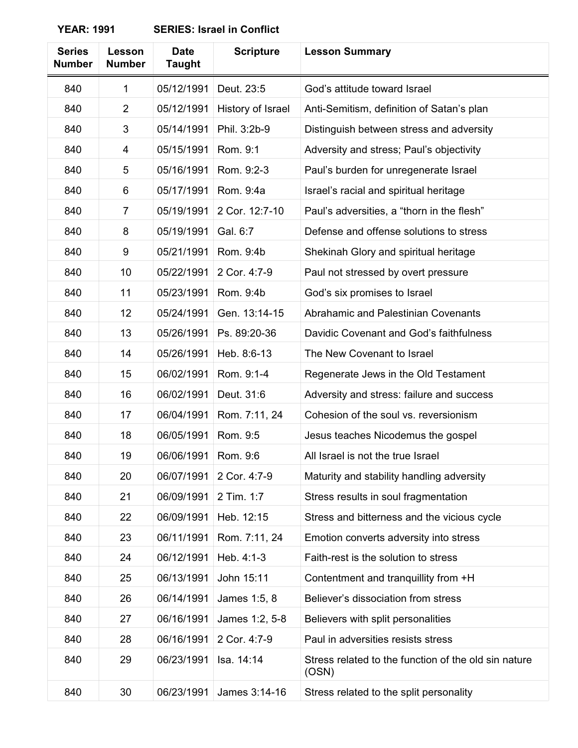| <b>Series</b><br><b>Number</b> | Lesson<br><b>Number</b> | <b>Date</b><br><b>Taught</b> | <b>Scripture</b>  | <b>Lesson Summary</b>                                         |
|--------------------------------|-------------------------|------------------------------|-------------------|---------------------------------------------------------------|
| 840                            | 1                       | 05/12/1991                   | Deut. 23:5        | God's attitude toward Israel                                  |
| 840                            | $\overline{2}$          | 05/12/1991                   | History of Israel | Anti-Semitism, definition of Satan's plan                     |
| 840                            | 3                       | 05/14/1991                   | Phil. 3:2b-9      | Distinguish between stress and adversity                      |
| 840                            | 4                       | 05/15/1991                   | Rom. 9:1          | Adversity and stress; Paul's objectivity                      |
| 840                            | 5                       | 05/16/1991                   | Rom. 9:2-3        | Paul's burden for unregenerate Israel                         |
| 840                            | 6                       | 05/17/1991                   | Rom. 9:4a         | Israel's racial and spiritual heritage                        |
| 840                            | $\overline{7}$          | 05/19/1991                   | 2 Cor. 12:7-10    | Paul's adversities, a "thorn in the flesh"                    |
| 840                            | 8                       | 05/19/1991                   | Gal. 6:7          | Defense and offense solutions to stress                       |
| 840                            | 9                       | 05/21/1991                   | Rom. 9:4b         | Shekinah Glory and spiritual heritage                         |
| 840                            | 10                      | 05/22/1991                   | 2 Cor. 4:7-9      | Paul not stressed by overt pressure                           |
| 840                            | 11                      | 05/23/1991                   | Rom. 9:4b         | God's six promises to Israel                                  |
| 840                            | 12                      | 05/24/1991                   | Gen. 13:14-15     | Abrahamic and Palestinian Covenants                           |
| 840                            | 13                      | 05/26/1991                   | Ps. 89:20-36      | Davidic Covenant and God's faithfulness                       |
| 840                            | 14                      | 05/26/1991                   | Heb. 8:6-13       | The New Covenant to Israel                                    |
| 840                            | 15                      | 06/02/1991                   | Rom. 9:1-4        | Regenerate Jews in the Old Testament                          |
| 840                            | 16                      | 06/02/1991                   | Deut. 31:6        | Adversity and stress: failure and success                     |
| 840                            | 17                      | 06/04/1991                   | Rom. 7:11, 24     | Cohesion of the soul vs. reversionism                         |
| 840                            | 18                      | 06/05/1991                   | Rom. 9:5          | Jesus teaches Nicodemus the gospel                            |
| 840                            | 19                      | 06/06/1991                   | Rom. 9:6          | All Israel is not the true Israel                             |
| 840                            | 20                      | 06/07/1991                   | 2 Cor. 4:7-9      | Maturity and stability handling adversity                     |
| 840                            | 21                      | 06/09/1991                   | 2 Tim. 1:7        | Stress results in soul fragmentation                          |
| 840                            | 22                      | 06/09/1991                   | Heb. 12:15        | Stress and bitterness and the vicious cycle                   |
| 840                            | 23                      | 06/11/1991                   | Rom. 7:11, 24     | Emotion converts adversity into stress                        |
| 840                            | 24                      | 06/12/1991                   | Heb. 4:1-3        | Faith-rest is the solution to stress                          |
| 840                            | 25                      | 06/13/1991                   | John 15:11        | Contentment and tranquillity from +H                          |
| 840                            | 26                      | 06/14/1991                   | James 1:5, 8      | Believer's dissociation from stress                           |
| 840                            | 27                      | 06/16/1991                   | James 1:2, 5-8    | Believers with split personalities                            |
| 840                            | 28                      | 06/16/1991                   | 2 Cor. 4:7-9      | Paul in adversities resists stress                            |
| 840                            | 29                      | 06/23/1991                   | Isa. 14:14        | Stress related to the function of the old sin nature<br>(OSN) |
| 840                            | 30                      | 06/23/1991                   | James 3:14-16     | Stress related to the split personality                       |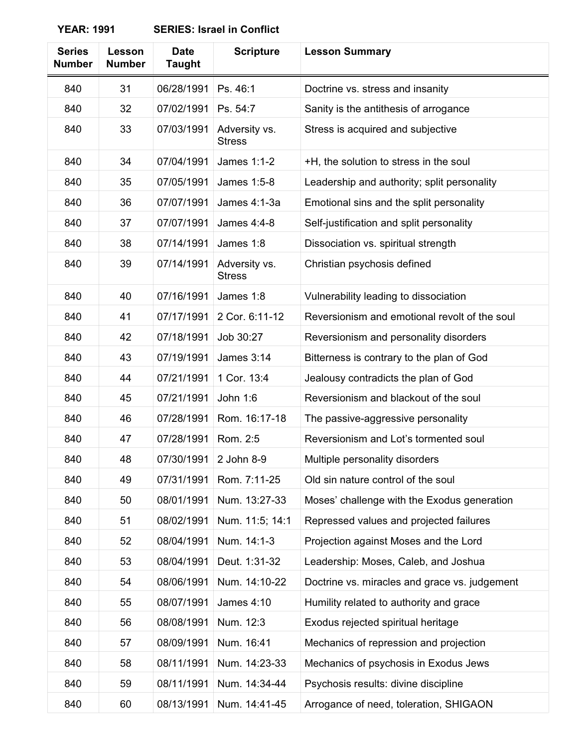| <b>Series</b><br><b>Number</b> | Lesson<br><b>Number</b> | <b>Date</b><br><b>Taught</b> | <b>Scripture</b>               | <b>Lesson Summary</b>                         |
|--------------------------------|-------------------------|------------------------------|--------------------------------|-----------------------------------------------|
| 840                            | 31                      | 06/28/1991                   | Ps. 46:1                       | Doctrine vs. stress and insanity              |
| 840                            | 32                      | 07/02/1991                   | Ps. 54:7                       | Sanity is the antithesis of arrogance         |
| 840                            | 33                      | 07/03/1991                   | Adversity vs.<br><b>Stress</b> | Stress is acquired and subjective             |
| 840                            | 34                      | 07/04/1991                   | James 1:1-2                    | +H, the solution to stress in the soul        |
| 840                            | 35                      | 07/05/1991                   | James 1:5-8                    | Leadership and authority; split personality   |
| 840                            | 36                      | 07/07/1991                   | James 4:1-3a                   | Emotional sins and the split personality      |
| 840                            | 37                      | 07/07/1991                   | James 4:4-8                    | Self-justification and split personality      |
| 840                            | 38                      | 07/14/1991                   | James 1:8                      | Dissociation vs. spiritual strength           |
| 840                            | 39                      | 07/14/1991                   | Adversity vs.<br><b>Stress</b> | Christian psychosis defined                   |
| 840                            | 40                      | 07/16/1991                   | James 1:8                      | Vulnerability leading to dissociation         |
| 840                            | 41                      | 07/17/1991                   | 2 Cor. 6:11-12                 | Reversionism and emotional revolt of the soul |
| 840                            | 42                      | 07/18/1991                   | Job 30:27                      | Reversionism and personality disorders        |
| 840                            | 43                      | 07/19/1991                   | <b>James 3:14</b>              | Bitterness is contrary to the plan of God     |
| 840                            | 44                      | 07/21/1991                   | 1 Cor. 13:4                    | Jealousy contradicts the plan of God          |
| 840                            | 45                      | 07/21/1991                   | John 1:6                       | Reversionism and blackout of the soul         |
| 840                            | 46                      | 07/28/1991                   | Rom. 16:17-18                  | The passive-aggressive personality            |
| 840                            | 47                      | 07/28/1991                   | Rom. 2:5                       | Reversionism and Lot's tormented soul         |
| 840                            | 48                      | 07/30/1991                   | 2 John 8-9                     | Multiple personality disorders                |
| 840                            | 49                      | 07/31/1991                   | Rom. 7:11-25                   | Old sin nature control of the soul            |
| 840                            | 50                      | 08/01/1991                   | Num. 13:27-33                  | Moses' challenge with the Exodus generation   |
| 840                            | 51                      | 08/02/1991                   | Num. 11:5; 14:1                | Repressed values and projected failures       |
| 840                            | 52                      | 08/04/1991                   | Num. 14:1-3                    | Projection against Moses and the Lord         |
| 840                            | 53                      | 08/04/1991                   | Deut. 1:31-32                  | Leadership: Moses, Caleb, and Joshua          |
| 840                            | 54                      | 08/06/1991                   | Num. 14:10-22                  | Doctrine vs. miracles and grace vs. judgement |
| 840                            | 55                      | 08/07/1991                   | <b>James 4:10</b>              | Humility related to authority and grace       |
| 840                            | 56                      | 08/08/1991                   | Num. 12:3                      | Exodus rejected spiritual heritage            |
| 840                            | 57                      | 08/09/1991                   | Num. 16:41                     | Mechanics of repression and projection        |
| 840                            | 58                      | 08/11/1991                   | Num. 14:23-33                  | Mechanics of psychosis in Exodus Jews         |
| 840                            | 59                      | 08/11/1991                   | Num. 14:34-44                  | Psychosis results: divine discipline          |
| 840                            | 60                      | 08/13/1991                   | Num. 14:41-45                  | Arrogance of need, toleration, SHIGAON        |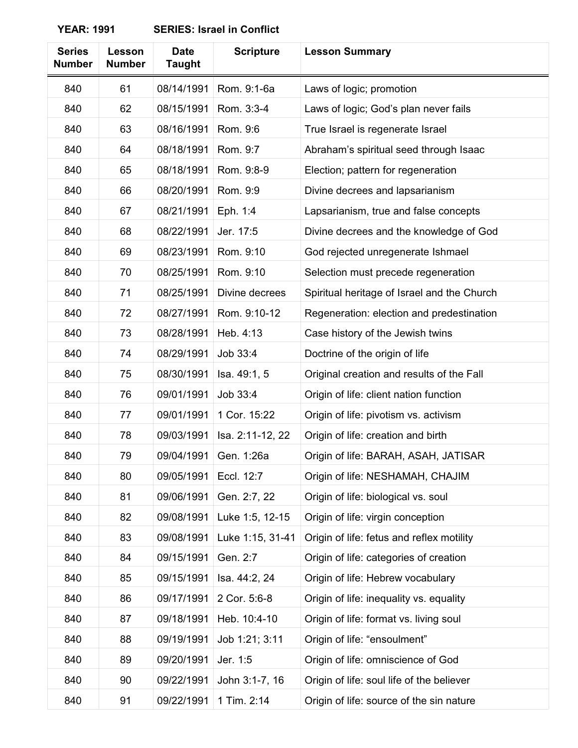| <b>Series</b><br><b>Number</b> | Lesson<br><b>Number</b> | <b>Date</b><br><b>Taught</b> | <b>Scripture</b> | <b>Lesson Summary</b>                       |
|--------------------------------|-------------------------|------------------------------|------------------|---------------------------------------------|
| 840                            | 61                      | 08/14/1991                   | Rom. 9:1-6a      | Laws of logic; promotion                    |
| 840                            | 62                      | 08/15/1991                   | Rom. 3:3-4       | Laws of logic; God's plan never fails       |
| 840                            | 63                      | 08/16/1991                   | Rom. 9:6         | True Israel is regenerate Israel            |
| 840                            | 64                      | 08/18/1991                   | Rom. 9:7         | Abraham's spiritual seed through Isaac      |
| 840                            | 65                      | 08/18/1991                   | Rom. 9:8-9       | Election; pattern for regeneration          |
| 840                            | 66                      | 08/20/1991                   | Rom. 9:9         | Divine decrees and lapsarianism             |
| 840                            | 67                      | 08/21/1991                   | Eph. 1:4         | Lapsarianism, true and false concepts       |
| 840                            | 68                      | 08/22/1991                   | Jer. 17:5        | Divine decrees and the knowledge of God     |
| 840                            | 69                      | 08/23/1991                   | Rom. 9:10        | God rejected unregenerate Ishmael           |
| 840                            | 70                      | 08/25/1991                   | Rom. 9:10        | Selection must precede regeneration         |
| 840                            | 71                      | 08/25/1991                   | Divine decrees   | Spiritual heritage of Israel and the Church |
| 840                            | 72                      | 08/27/1991                   | Rom. 9:10-12     | Regeneration: election and predestination   |
| 840                            | 73                      | 08/28/1991                   | Heb. 4:13        | Case history of the Jewish twins            |
| 840                            | 74                      | 08/29/1991                   | Job 33:4         | Doctrine of the origin of life              |
| 840                            | 75                      | 08/30/1991                   | Isa. 49:1, 5     | Original creation and results of the Fall   |
| 840                            | 76                      | 09/01/1991                   | Job 33:4         | Origin of life: client nation function      |
| 840                            | 77                      | 09/01/1991                   | 1 Cor. 15:22     | Origin of life: pivotism vs. activism       |
| 840                            | 78                      | 09/03/1991                   | Isa. 2:11-12, 22 | Origin of life: creation and birth          |
| 840                            | 79                      | 09/04/1991                   | Gen. 1:26a       | Origin of life: BARAH, ASAH, JATISAR        |
| 840                            | 80                      | 09/05/1991                   | Eccl. 12:7       | Origin of life: NESHAMAH, CHAJIM            |
| 840                            | 81                      | 09/06/1991                   | Gen. 2:7, 22     | Origin of life: biological vs. soul         |
| 840                            | 82                      | 09/08/1991                   | Luke 1:5, 12-15  | Origin of life: virgin conception           |
| 840                            | 83                      | 09/08/1991                   | Luke 1:15, 31-41 | Origin of life: fetus and reflex motility   |
| 840                            | 84                      | 09/15/1991                   | Gen. 2:7         | Origin of life: categories of creation      |
| 840                            | 85                      | 09/15/1991                   | Isa. 44:2, 24    | Origin of life: Hebrew vocabulary           |
| 840                            | 86                      | 09/17/1991                   | 2 Cor. 5:6-8     | Origin of life: inequality vs. equality     |
| 840                            | 87                      | 09/18/1991                   | Heb. 10:4-10     | Origin of life: format vs. living soul      |
| 840                            | 88                      | 09/19/1991                   | Job 1:21; 3:11   | Origin of life: "ensoulment"                |
| 840                            | 89                      | 09/20/1991                   | Jer. 1:5         | Origin of life: omniscience of God          |
| 840                            | 90                      | 09/22/1991                   | John 3:1-7, 16   | Origin of life: soul life of the believer   |
| 840                            | 91                      | 09/22/1991                   | 1 Tim. 2:14      | Origin of life: source of the sin nature    |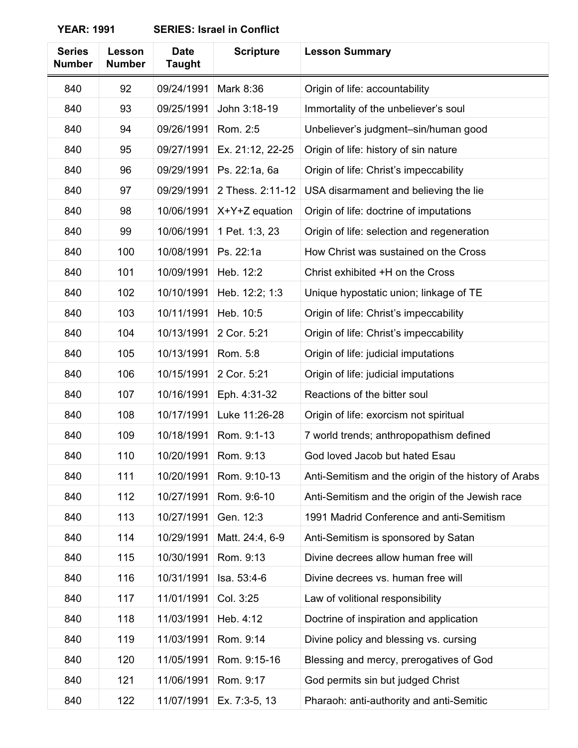| <b>Series</b><br><b>Number</b> | Lesson<br><b>Number</b> | <b>Date</b><br><b>Taught</b> | <b>Scripture</b> | <b>Lesson Summary</b>                                |
|--------------------------------|-------------------------|------------------------------|------------------|------------------------------------------------------|
| 840                            | 92                      | 09/24/1991                   | Mark 8:36        | Origin of life: accountability                       |
| 840                            | 93                      | 09/25/1991                   | John 3:18-19     | Immortality of the unbeliever's soul                 |
| 840                            | 94                      | 09/26/1991                   | Rom. 2:5         | Unbeliever's judgment-sin/human good                 |
| 840                            | 95                      | 09/27/1991                   | Ex. 21:12, 22-25 | Origin of life: history of sin nature                |
| 840                            | 96                      | 09/29/1991                   | Ps. 22:1a, 6a    | Origin of life: Christ's impeccability               |
| 840                            | 97                      | 09/29/1991                   | 2 Thess. 2:11-12 | USA disarmament and believing the lie                |
| 840                            | 98                      | 10/06/1991                   | $X+Y+Z$ equation | Origin of life: doctrine of imputations              |
| 840                            | 99                      | 10/06/1991                   | 1 Pet. 1:3, 23   | Origin of life: selection and regeneration           |
| 840                            | 100                     | 10/08/1991                   | Ps. 22:1a        | How Christ was sustained on the Cross                |
| 840                            | 101                     | 10/09/1991                   | Heb. 12:2        | Christ exhibited +H on the Cross                     |
| 840                            | 102                     | 10/10/1991                   | Heb. 12:2; 1:3   | Unique hypostatic union; linkage of TE               |
| 840                            | 103                     | 10/11/1991                   | Heb. 10:5        | Origin of life: Christ's impeccability               |
| 840                            | 104                     | 10/13/1991                   | 2 Cor. 5:21      | Origin of life: Christ's impeccability               |
| 840                            | 105                     | 10/13/1991                   | Rom. 5:8         | Origin of life: judicial imputations                 |
| 840                            | 106                     | 10/15/1991                   | 2 Cor. 5:21      | Origin of life: judicial imputations                 |
| 840                            | 107                     | 10/16/1991                   | Eph. 4:31-32     | Reactions of the bitter soul                         |
| 840                            | 108                     | 10/17/1991                   | Luke 11:26-28    | Origin of life: exorcism not spiritual               |
| 840                            | 109                     | 10/18/1991                   | Rom. 9:1-13      | 7 world trends; anthropopathism defined              |
| 840                            | 110                     | 10/20/1991                   | Rom. 9:13        | God loved Jacob but hated Esau                       |
| 840                            | 111                     | 10/20/1991                   | Rom. 9:10-13     | Anti-Semitism and the origin of the history of Arabs |
| 840                            | 112                     | 10/27/1991                   | Rom. 9:6-10      | Anti-Semitism and the origin of the Jewish race      |
| 840                            | 113                     | 10/27/1991                   | Gen. 12:3        | 1991 Madrid Conference and anti-Semitism             |
| 840                            | 114                     | 10/29/1991                   | Matt. 24:4, 6-9  | Anti-Semitism is sponsored by Satan                  |
| 840                            | 115                     | 10/30/1991                   | Rom. 9:13        | Divine decrees allow human free will                 |
| 840                            | 116                     | 10/31/1991                   | Isa. 53:4-6      | Divine decrees vs. human free will                   |
| 840                            | 117                     | 11/01/1991                   | Col. 3:25        | Law of volitional responsibility                     |
| 840                            | 118                     | 11/03/1991                   | Heb. 4:12        | Doctrine of inspiration and application              |
| 840                            | 119                     | 11/03/1991                   | Rom. 9:14        | Divine policy and blessing vs. cursing               |
| 840                            | 120                     | 11/05/1991                   | Rom. 9:15-16     | Blessing and mercy, prerogatives of God              |
| 840                            | 121                     | 11/06/1991                   | Rom. 9:17        | God permits sin but judged Christ                    |
| 840                            | 122                     | 11/07/1991                   | Ex. 7:3-5, 13    | Pharaoh: anti-authority and anti-Semitic             |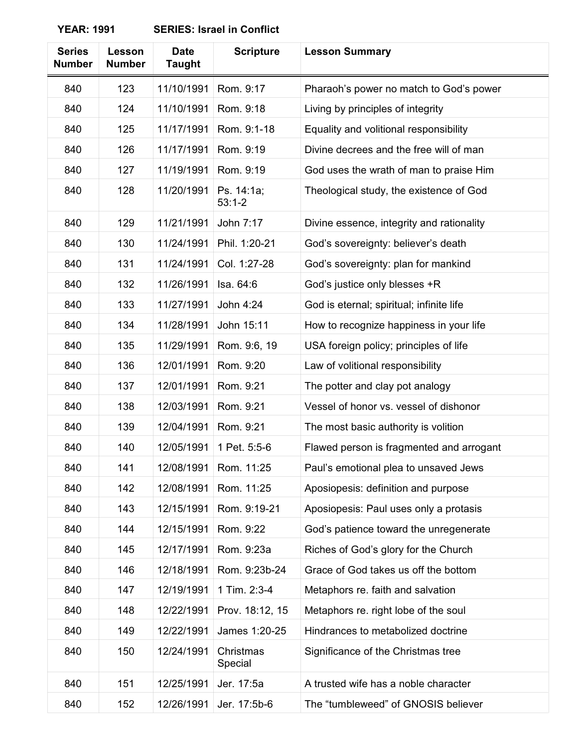| <b>Series</b><br><b>Number</b> | Lesson<br><b>Number</b> | <b>Date</b><br><b>Taught</b> | <b>Scripture</b>         | <b>Lesson Summary</b>                     |
|--------------------------------|-------------------------|------------------------------|--------------------------|-------------------------------------------|
| 840                            | 123                     | 11/10/1991                   | Rom. 9:17                | Pharaoh's power no match to God's power   |
| 840                            | 124                     | 11/10/1991                   | Rom. 9:18                | Living by principles of integrity         |
| 840                            | 125                     | 11/17/1991                   | Rom. 9:1-18              | Equality and volitional responsibility    |
| 840                            | 126                     | 11/17/1991                   | Rom. 9:19                | Divine decrees and the free will of man   |
| 840                            | 127                     | 11/19/1991                   | Rom. 9:19                | God uses the wrath of man to praise Him   |
| 840                            | 128                     | 11/20/1991                   | Ps. 14:1a;<br>$53:1 - 2$ | Theological study, the existence of God   |
| 840                            | 129                     | 11/21/1991                   | John 7:17                | Divine essence, integrity and rationality |
| 840                            | 130                     | 11/24/1991                   | Phil. 1:20-21            | God's sovereignty: believer's death       |
| 840                            | 131                     | 11/24/1991                   | Col. 1:27-28             | God's sovereignty: plan for mankind       |
| 840                            | 132                     | 11/26/1991                   | Isa. 64:6                | God's justice only blesses +R             |
| 840                            | 133                     | 11/27/1991                   | John 4:24                | God is eternal; spiritual; infinite life  |
| 840                            | 134                     | 11/28/1991                   | John 15:11               | How to recognize happiness in your life   |
| 840                            | 135                     | 11/29/1991                   | Rom. 9:6, 19             | USA foreign policy; principles of life    |
| 840                            | 136                     | 12/01/1991                   | Rom. 9:20                | Law of volitional responsibility          |
| 840                            | 137                     | 12/01/1991                   | Rom. 9:21                | The potter and clay pot analogy           |
| 840                            | 138                     | 12/03/1991                   | Rom. 9:21                | Vessel of honor vs. vessel of dishonor    |
| 840                            | 139                     | 12/04/1991                   | Rom. 9:21                | The most basic authority is volition      |
| 840                            | 140                     | 12/05/1991                   | 1 Pet. 5:5-6             | Flawed person is fragmented and arrogant  |
| 840                            | 141                     | 12/08/1991                   | Rom. 11:25               | Paul's emotional plea to unsaved Jews     |
| 840                            | 142                     | 12/08/1991                   | Rom. 11:25               | Aposiopesis: definition and purpose       |
| 840                            | 143                     | 12/15/1991                   | Rom. 9:19-21             | Aposiopesis: Paul uses only a protasis    |
| 840                            | 144                     | 12/15/1991                   | Rom. 9:22                | God's patience toward the unregenerate    |
| 840                            | 145                     | 12/17/1991                   | Rom. 9:23a               | Riches of God's glory for the Church      |
| 840                            | 146                     | 12/18/1991                   | Rom. 9:23b-24            | Grace of God takes us off the bottom      |
| 840                            | 147                     | 12/19/1991                   | 1 Tim. 2:3-4             | Metaphors re. faith and salvation         |
| 840                            | 148                     | 12/22/1991                   | Prov. 18:12, 15          | Metaphors re. right lobe of the soul      |
| 840                            | 149                     | 12/22/1991                   | James 1:20-25            | Hindrances to metabolized doctrine        |
| 840                            | 150                     | 12/24/1991                   | Christmas<br>Special     | Significance of the Christmas tree        |
| 840                            | 151                     | 12/25/1991                   | Jer. 17:5a               | A trusted wife has a noble character      |
| 840                            | 152                     | 12/26/1991                   | Jer. 17:5b-6             | The "tumbleweed" of GNOSIS believer       |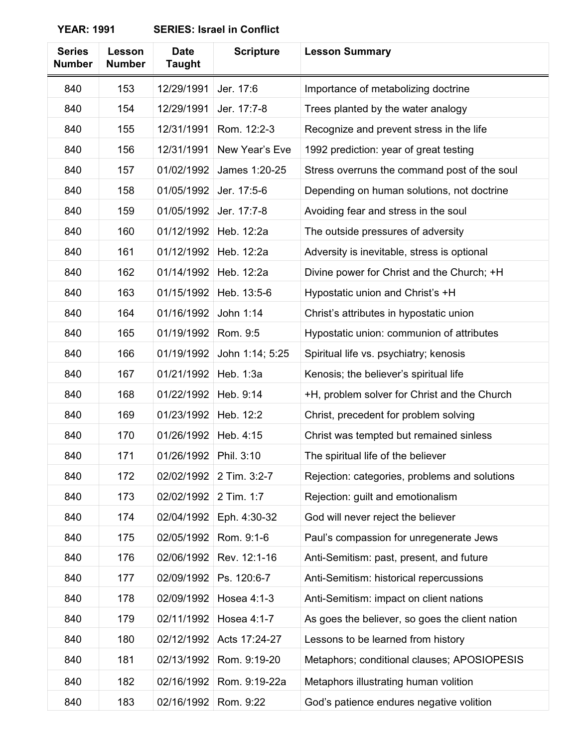| <b>Series</b><br><b>Number</b> | Lesson<br><b>Number</b> | <b>Date</b><br><b>Taught</b> | <b>Scripture</b> | <b>Lesson Summary</b>                           |
|--------------------------------|-------------------------|------------------------------|------------------|-------------------------------------------------|
| 840                            | 153                     | 12/29/1991                   | Jer. 17:6        | Importance of metabolizing doctrine             |
| 840                            | 154                     | 12/29/1991                   | Jer. 17:7-8      | Trees planted by the water analogy              |
| 840                            | 155                     | 12/31/1991                   | Rom. 12:2-3      | Recognize and prevent stress in the life        |
| 840                            | 156                     | 12/31/1991                   | New Year's Eve   | 1992 prediction: year of great testing          |
| 840                            | 157                     | 01/02/1992                   | James 1:20-25    | Stress overruns the command post of the soul    |
| 840                            | 158                     | 01/05/1992                   | Jer. 17:5-6      | Depending on human solutions, not doctrine      |
| 840                            | 159                     | 01/05/1992                   | Jer. 17:7-8      | Avoiding fear and stress in the soul            |
| 840                            | 160                     | 01/12/1992                   | Heb. 12:2a       | The outside pressures of adversity              |
| 840                            | 161                     | 01/12/1992                   | Heb. 12:2a       | Adversity is inevitable, stress is optional     |
| 840                            | 162                     | 01/14/1992                   | Heb. 12:2a       | Divine power for Christ and the Church; +H      |
| 840                            | 163                     | 01/15/1992                   | Heb. 13:5-6      | Hypostatic union and Christ's +H                |
| 840                            | 164                     | 01/16/1992                   | John 1:14        | Christ's attributes in hypostatic union         |
| 840                            | 165                     | 01/19/1992                   | Rom. 9:5         | Hypostatic union: communion of attributes       |
| 840                            | 166                     | 01/19/1992                   | John 1:14; 5:25  | Spiritual life vs. psychiatry; kenosis          |
| 840                            | 167                     | 01/21/1992                   | Heb. 1:3a        | Kenosis; the believer's spiritual life          |
| 840                            | 168                     | 01/22/1992                   | Heb. 9:14        | +H, problem solver for Christ and the Church    |
| 840                            | 169                     | 01/23/1992                   | Heb. 12:2        | Christ, precedent for problem solving           |
| 840                            | 170                     | 01/26/1992                   | Heb. 4:15        | Christ was tempted but remained sinless         |
| 840                            | 171                     | 01/26/1992                   | Phil. 3:10       | The spiritual life of the believer              |
| 840                            | 172                     | 02/02/1992                   | 2 Tim. 3:2-7     | Rejection: categories, problems and solutions   |
| 840                            | 173                     | 02/02/1992                   | 2 Tim. 1:7       | Rejection: guilt and emotionalism               |
| 840                            | 174                     | 02/04/1992                   | Eph. 4:30-32     | God will never reject the believer              |
| 840                            | 175                     | 02/05/1992                   | Rom. 9:1-6       | Paul's compassion for unregenerate Jews         |
| 840                            | 176                     | 02/06/1992                   | Rev. 12:1-16     | Anti-Semitism: past, present, and future        |
| 840                            | 177                     | 02/09/1992                   | Ps. 120:6-7      | Anti-Semitism: historical repercussions         |
| 840                            | 178                     | 02/09/1992                   | Hosea 4:1-3      | Anti-Semitism: impact on client nations         |
| 840                            | 179                     | 02/11/1992                   | Hosea 4:1-7      | As goes the believer, so goes the client nation |
| 840                            | 180                     | 02/12/1992                   | Acts 17:24-27    | Lessons to be learned from history              |
| 840                            | 181                     | 02/13/1992                   | Rom. 9:19-20     | Metaphors; conditional clauses; APOSIOPESIS     |
| 840                            | 182                     | 02/16/1992                   | Rom. 9:19-22a    | Metaphors illustrating human volition           |
| 840                            | 183                     | 02/16/1992                   | Rom. 9:22        | God's patience endures negative volition        |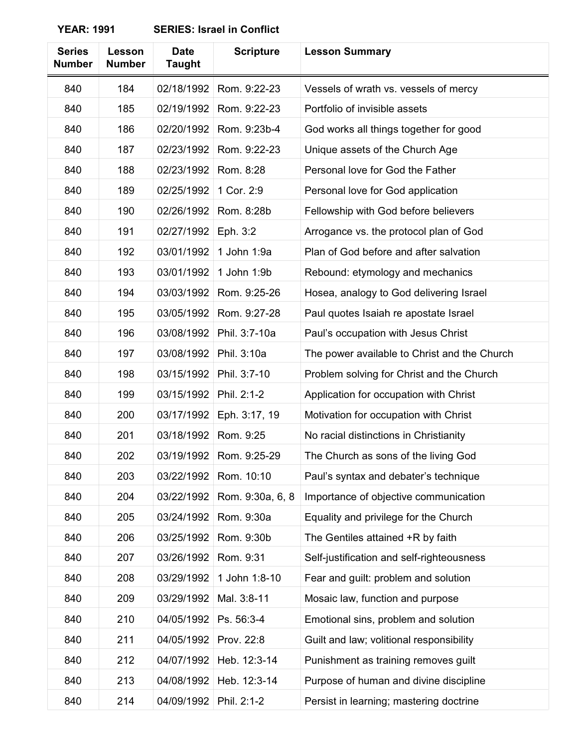| <b>Series</b><br><b>Number</b> | Lesson<br><b>Number</b> | <b>Date</b><br><b>Taught</b> | <b>Scripture</b> | <b>Lesson Summary</b>                        |
|--------------------------------|-------------------------|------------------------------|------------------|----------------------------------------------|
| 840                            | 184                     | 02/18/1992                   | Rom. 9:22-23     | Vessels of wrath vs. vessels of mercy        |
| 840                            | 185                     | 02/19/1992                   | Rom. 9:22-23     | Portfolio of invisible assets                |
| 840                            | 186                     | 02/20/1992                   | Rom. 9:23b-4     | God works all things together for good       |
| 840                            | 187                     | 02/23/1992                   | Rom. 9:22-23     | Unique assets of the Church Age              |
| 840                            | 188                     | 02/23/1992                   | Rom. 8:28        | Personal love for God the Father             |
| 840                            | 189                     | 02/25/1992                   | 1 Cor. 2:9       | Personal love for God application            |
| 840                            | 190                     | 02/26/1992                   | Rom. 8:28b       | Fellowship with God before believers         |
| 840                            | 191                     | 02/27/1992                   | Eph. 3:2         | Arrogance vs. the protocol plan of God       |
| 840                            | 192                     | 03/01/1992                   | 1 John 1:9a      | Plan of God before and after salvation       |
| 840                            | 193                     | 03/01/1992                   | 1 John 1:9b      | Rebound: etymology and mechanics             |
| 840                            | 194                     | 03/03/1992                   | Rom. 9:25-26     | Hosea, analogy to God delivering Israel      |
| 840                            | 195                     | 03/05/1992                   | Rom. 9:27-28     | Paul quotes Isaiah re apostate Israel        |
| 840                            | 196                     | 03/08/1992                   | Phil. 3:7-10a    | Paul's occupation with Jesus Christ          |
| 840                            | 197                     | 03/08/1992                   | Phil. 3:10a      | The power available to Christ and the Church |
| 840                            | 198                     | 03/15/1992                   | Phil. 3:7-10     | Problem solving for Christ and the Church    |
| 840                            | 199                     | 03/15/1992                   | Phil. 2:1-2      | Application for occupation with Christ       |
| 840                            | 200                     | 03/17/1992                   | Eph. 3:17, 19    | Motivation for occupation with Christ        |
| 840                            | 201                     | 03/18/1992                   | Rom. 9:25        | No racial distinctions in Christianity       |
| 840                            | 202                     | 03/19/1992                   | Rom. 9:25-29     | The Church as sons of the living God         |
| 840                            | 203                     | 03/22/1992                   | Rom. 10:10       | Paul's syntax and debater's technique        |
| 840                            | 204                     | 03/22/1992                   | Rom. 9:30a, 6, 8 | Importance of objective communication        |
| 840                            | 205                     | 03/24/1992                   | Rom. 9:30a       | Equality and privilege for the Church        |
| 840                            | 206                     | 03/25/1992                   | Rom. 9:30b       | The Gentiles attained +R by faith            |
| 840                            | 207                     | 03/26/1992                   | Rom. 9:31        | Self-justification and self-righteousness    |
| 840                            | 208                     | 03/29/1992                   | 1 John 1:8-10    | Fear and guilt: problem and solution         |
| 840                            | 209                     | 03/29/1992                   | Mal. 3:8-11      | Mosaic law, function and purpose             |
| 840                            | 210                     | 04/05/1992                   | Ps. 56:3-4       | Emotional sins, problem and solution         |
| 840                            | 211                     | 04/05/1992                   | Prov. 22:8       | Guilt and law; volitional responsibility     |
| 840                            | 212                     | 04/07/1992                   | Heb. 12:3-14     | Punishment as training removes guilt         |
| 840                            | 213                     | 04/08/1992                   | Heb. 12:3-14     | Purpose of human and divine discipline       |
| 840                            | 214                     | 04/09/1992                   | Phil. 2:1-2      | Persist in learning; mastering doctrine      |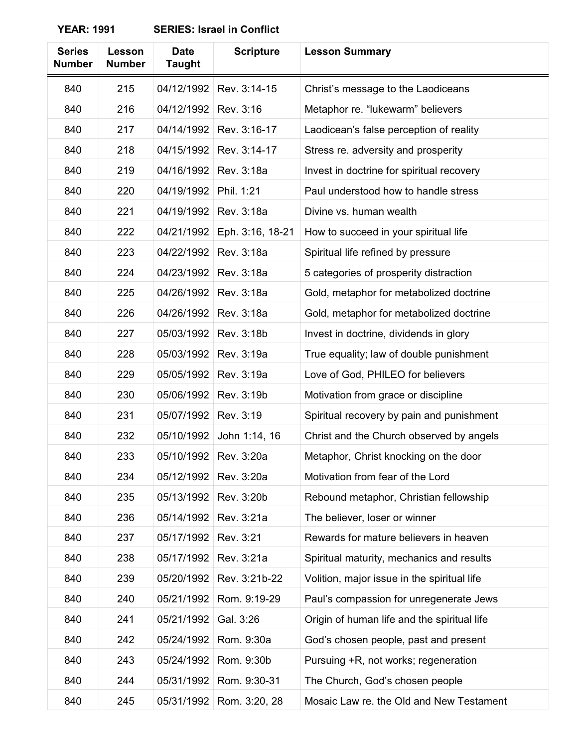| <b>YEAR: 1991</b> | <b>SERIES: Israel in Conflict</b> |  |
|-------------------|-----------------------------------|--|
|-------------------|-----------------------------------|--|

| <b>Series</b><br><b>Number</b> | Lesson<br><b>Number</b> | <b>Date</b><br><b>Taught</b> | <b>Scripture</b> | <b>Lesson Summary</b>                       |
|--------------------------------|-------------------------|------------------------------|------------------|---------------------------------------------|
| 840                            | 215                     | 04/12/1992                   | Rev. 3:14-15     | Christ's message to the Laodiceans          |
| 840                            | 216                     | 04/12/1992                   | Rev. 3:16        | Metaphor re. "lukewarm" believers           |
| 840                            | 217                     | 04/14/1992                   | Rev. 3:16-17     | Laodicean's false perception of reality     |
| 840                            | 218                     | 04/15/1992                   | Rev. 3:14-17     | Stress re. adversity and prosperity         |
| 840                            | 219                     | 04/16/1992                   | Rev. 3:18a       | Invest in doctrine for spiritual recovery   |
| 840                            | 220                     | 04/19/1992                   | Phil. 1:21       | Paul understood how to handle stress        |
| 840                            | 221                     | 04/19/1992                   | Rev. 3:18a       | Divine vs. human wealth                     |
| 840                            | 222                     | 04/21/1992                   | Eph. 3:16, 18-21 | How to succeed in your spiritual life       |
| 840                            | 223                     | 04/22/1992                   | Rev. 3:18a       | Spiritual life refined by pressure          |
| 840                            | 224                     | 04/23/1992                   | Rev. 3:18a       | 5 categories of prosperity distraction      |
| 840                            | 225                     | 04/26/1992                   | Rev. 3:18a       | Gold, metaphor for metabolized doctrine     |
| 840                            | 226                     | 04/26/1992                   | Rev. 3:18a       | Gold, metaphor for metabolized doctrine     |
| 840                            | 227                     | 05/03/1992                   | Rev. 3:18b       | Invest in doctrine, dividends in glory      |
| 840                            | 228                     | 05/03/1992                   | Rev. 3:19a       | True equality; law of double punishment     |
| 840                            | 229                     | 05/05/1992                   | Rev. 3:19a       | Love of God, PHILEO for believers           |
| 840                            | 230                     | 05/06/1992                   | Rev. 3:19b       | Motivation from grace or discipline         |
| 840                            | 231                     | 05/07/1992                   | Rev. 3:19        | Spiritual recovery by pain and punishment   |
| 840                            | 232                     | 05/10/1992                   | John 1:14, 16    | Christ and the Church observed by angels    |
| 840                            | 233                     | 05/10/1992                   | Rev. 3:20a       | Metaphor, Christ knocking on the door       |
| 840                            | 234                     | 05/12/1992                   | Rev. 3:20a       | Motivation from fear of the Lord            |
| 840                            | 235                     | 05/13/1992                   | Rev. 3:20b       | Rebound metaphor, Christian fellowship      |
| 840                            | 236                     | 05/14/1992                   | Rev. 3:21a       | The believer, loser or winner               |
| 840                            | 237                     | 05/17/1992                   | Rev. 3:21        | Rewards for mature believers in heaven      |
| 840                            | 238                     | 05/17/1992                   | Rev. 3:21a       | Spiritual maturity, mechanics and results   |
| 840                            | 239                     | 05/20/1992                   | Rev. 3:21b-22    | Volition, major issue in the spiritual life |
| 840                            | 240                     | 05/21/1992                   | Rom. 9:19-29     | Paul's compassion for unregenerate Jews     |
| 840                            | 241                     | 05/21/1992                   | Gal. 3:26        | Origin of human life and the spiritual life |
| 840                            | 242                     | 05/24/1992                   | Rom. 9:30a       | God's chosen people, past and present       |
| 840                            | 243                     | 05/24/1992                   | Rom. 9:30b       | Pursuing +R, not works; regeneration        |
| 840                            | 244                     | 05/31/1992                   | Rom. 9:30-31     | The Church, God's chosen people             |
| 840                            | 245                     | 05/31/1992                   | Rom. 3:20, 28    | Mosaic Law re. the Old and New Testament    |